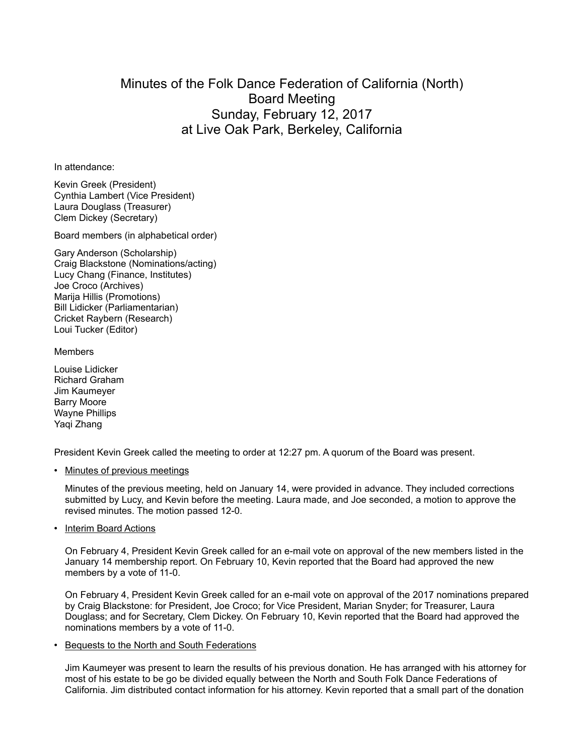## Minutes of the Folk Dance Federation of California (North) Board Meeting Sunday, February 12, 2017 at Live Oak Park, Berkeley, California

In attendance:

Kevin Greek (President) Cynthia Lambert (Vice President) Laura Douglass (Treasurer) Clem Dickey (Secretary)

Board members (in alphabetical order)

Gary Anderson (Scholarship) Craig Blackstone (Nominations/acting) Lucy Chang (Finance, Institutes) Joe Croco (Archives) Marija Hillis (Promotions) Bill Lidicker (Parliamentarian) Cricket Raybern (Research) Loui Tucker (Editor)

## Members

Louise Lidicker Richard Graham Jim Kaumeyer Barry Moore Wayne Phillips Yaqi Zhang

President Kevin Greek called the meeting to order at 12:27 pm. A quorum of the Board was present.

• Minutes of previous meetings

Minutes of the previous meeting, held on January 14, were provided in advance. They included corrections submitted by Lucy, and Kevin before the meeting. Laura made, and Joe seconded, a motion to approve the revised minutes. The motion passed 12-0.

• Interim Board Actions

On February 4, President Kevin Greek called for an e-mail vote on approval of the new members listed in the January 14 membership report. On February 10, Kevin reported that the Board had approved the new members by a vote of 11-0.

On February 4, President Kevin Greek called for an e-mail vote on approval of the 2017 nominations prepared by Craig Blackstone: for President, Joe Croco; for Vice President, Marian Snyder; for Treasurer, Laura Douglass; and for Secretary, Clem Dickey. On February 10, Kevin reported that the Board had approved the nominations members by a vote of 11-0.

• Bequests to the North and South Federations

Jim Kaumeyer was present to learn the results of his previous donation. He has arranged with his attorney for most of his estate to be go be divided equally between the North and South Folk Dance Federations of California. Jim distributed contact information for his attorney. Kevin reported that a small part of the donation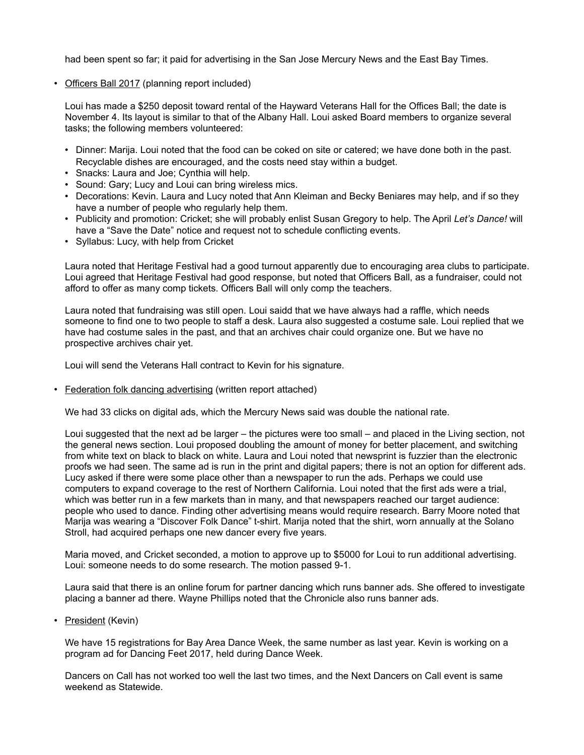had been spent so far; it paid for advertising in the San Jose Mercury News and the East Bay Times.

• Officers Ball 2017 (planning report included)

Loui has made a \$250 deposit toward rental of the Hayward Veterans Hall for the Offices Ball; the date is November 4. Its layout is similar to that of the Albany Hall. Loui asked Board members to organize several tasks; the following members volunteered:

- Dinner: Marija. Loui noted that the food can be coked on site or catered; we have done both in the past. Recyclable dishes are encouraged, and the costs need stay within a budget.
- Snacks: Laura and Joe; Cynthia will help.
- Sound: Gary; Lucy and Loui can bring wireless mics.
- Decorations: Kevin. Laura and Lucy noted that Ann Kleiman and Becky Beniares may help, and if so they have a number of people who regularly help them.
- Publicity and promotion: Cricket; she will probably enlist Susan Gregory to help. The April *Let's Dance!* will have a "Save the Date" notice and request not to schedule conflicting events.
- Syllabus: Lucy, with help from Cricket

Laura noted that Heritage Festival had a good turnout apparently due to encouraging area clubs to participate. Loui agreed that Heritage Festival had good response, but noted that Officers Ball, as a fundraiser, could not afford to offer as many comp tickets. Officers Ball will only comp the teachers.

Laura noted that fundraising was still open. Loui saidd that we have always had a raffle, which needs someone to find one to two people to staff a desk. Laura also suggested a costume sale. Loui replied that we have had costume sales in the past, and that an archives chair could organize one. But we have no prospective archives chair yet.

Loui will send the Veterans Hall contract to Kevin for his signature.

• Federation folk dancing advertising (written report attached)

We had 33 clicks on digital ads, which the Mercury News said was double the national rate.

Loui suggested that the next ad be larger – the pictures were too small – and placed in the Living section, not the general news section. Loui proposed doubling the amount of money for better placement, and switching from white text on black to black on white. Laura and Loui noted that newsprint is fuzzier than the electronic proofs we had seen. The same ad is run in the print and digital papers; there is not an option for different ads. Lucy asked if there were some place other than a newspaper to run the ads. Perhaps we could use computers to expand coverage to the rest of Northern California. Loui noted that the first ads were a trial, which was better run in a few markets than in many, and that newspapers reached our target audience: people who used to dance. Finding other advertising means would require research. Barry Moore noted that Marija was wearing a "Discover Folk Dance" t-shirt. Marija noted that the shirt, worn annually at the Solano Stroll, had acquired perhaps one new dancer every five years.

Maria moved, and Cricket seconded, a motion to approve up to \$5000 for Loui to run additional advertising. Loui: someone needs to do some research. The motion passed 9-1.

Laura said that there is an online forum for partner dancing which runs banner ads. She offered to investigate placing a banner ad there. Wayne Phillips noted that the Chronicle also runs banner ads.

• President (Kevin)

We have 15 registrations for Bay Area Dance Week, the same number as last year. Kevin is working on a program ad for Dancing Feet 2017, held during Dance Week.

Dancers on Call has not worked too well the last two times, and the Next Dancers on Call event is same weekend as Statewide.